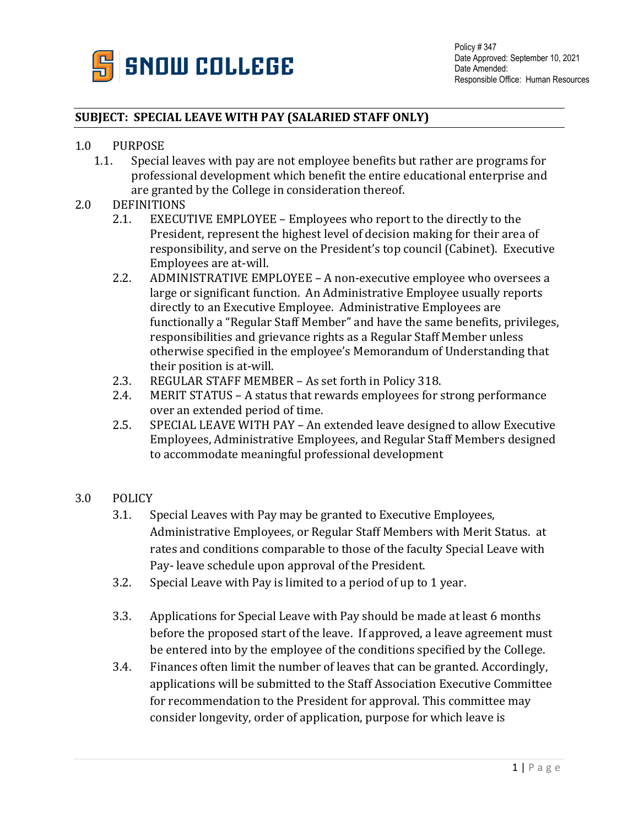

## **SUBJECT: SPECIAL LEAVE WITH PAY (SALARIED STAFF ONLY)**

## 1.0 PURPOSE<br>1.1. Specia

Special leaves with pay are not employee benefits but rather are programs for professional development which benefit the entire educational enterprise and are granted by the College in consideration thereof.

## 2.0 DEFINITIONS<br>2.1. EXECU

- EXECUTIVE EMPLOYEE Employees who report to the directly to the President, represent the highest level of decision making for their area of responsibility, and serve on the President's top council (Cabinet). Executive Employees are at-will.
- 2.2. ADMINISTRATIVE EMPLOYEE A non-executive employee who oversees a large or significant function. An Administrative Employee usually reports directly to an Executive Employee. Administrative Employees are functionally a "Regular Staff Member" and have the same benefits, privileges, responsibilities and grievance rights as a Regular Staff Member unless otherwise specified in the employee's Memorandum of Understanding that their position is at-will.
- 2.3. REGULAR STAFF MEMBER As set forth in Policy 318.<br>2.4. MERIT STATUS A status that rewards employees for s
- MERIT STATUS A status that rewards employees for strong performance over an extended period of time.
- 2.5. SPECIAL LEAVE WITH PAY An extended leave designed to allow Executive Employees, Administrative Employees, and Regular Staff Members designed to accommodate meaningful professional development
- 3.0 POLICY
	- 3.1. Special Leaves with Pay may be granted to Executive Employees, Administrative Employees, or Regular Staff Members with Merit Status. at rates and conditions comparable to those of the faculty Special Leave with Pay- leave schedule upon approval of the President.
	- 3.2. Special Leave with Pay is limited to a period of up to 1 year.
	- 3.3. Applications for Special Leave with Pay should be made at least 6 months before the proposed start of the leave. If approved, a leave agreement must be entered into by the employee of the conditions specified by the College.
	- 3.4. Finances often limit the number of leaves that can be granted. Accordingly, applications will be submitted to the Staff Association Executive Committee for recommendation to the President for approval. This committee may consider longevity, order of application, purpose for which leave is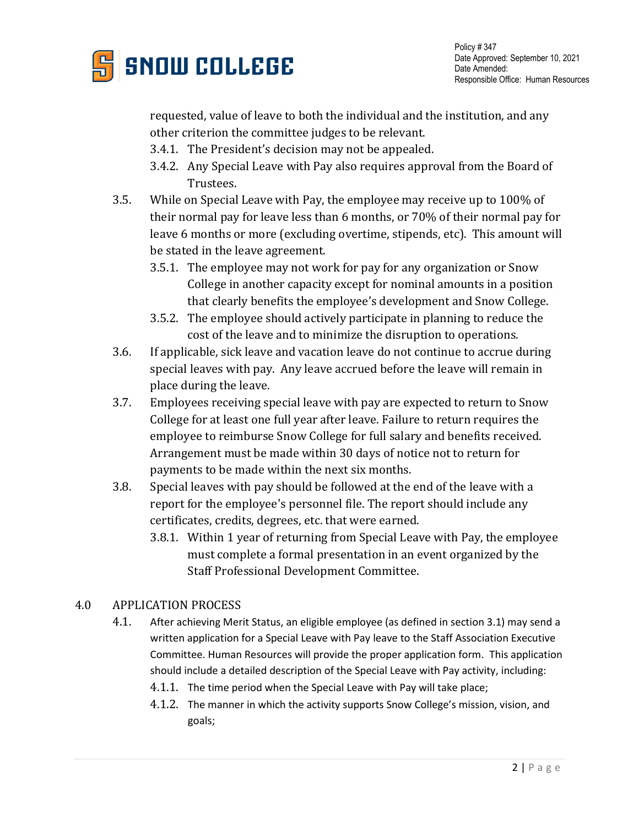

Policy # 347 Date Approved: September 10, 2021 Date Amended: Responsible Office: Human Resources

requested, value of leave to both the individual and the institution, and any other criterion the committee judges to be relevant.

- 3.4.1. The President's decision may not be appealed.
- 3.4.2. Any Special Leave with Pay also requires approval from the Board of Trustees.
- 3.5. While on Special Leave with Pay, the employee may receive up to 100% of their normal pay for leave less than 6 months, or 70% of their normal pay for leave 6 months or more (excluding overtime, stipends, etc). This amount will be stated in the leave agreement.
	- 3.5.1. The employee may not work for pay for any organization or Snow College in another capacity except for nominal amounts in a position that clearly benefits the employee's development and Snow College.
	- 3.5.2. The employee should actively participate in planning to reduce the cost of the leave and to minimize the disruption to operations.
- 3.6. If applicable, sick leave and vacation leave do not continue to accrue during special leaves with pay. Any leave accrued before the leave will remain in place during the leave.
- 3.7. Employees receiving special leave with pay are expected to return to Snow College for at least one full year after leave. Failure to return requires the employee to reimburse Snow College for full salary and benefits received. Arrangement must be made within 30 days of notice not to return for payments to be made within the next six months.
- 3.8. Special leaves with pay should be followed at the end of the leave with a report for the employee's personnel file. The report should include any certificates, credits, degrees, etc. that were earned.
	- 3.8.1. Within 1 year of returning from Special Leave with Pay, the employee must complete a formal presentation in an event organized by the Staff Professional Development Committee.

## 4.0 APPLICATION PROCESS

- 4.1. After achieving Merit Status, an eligible employee (as defined in section 3.1) may send a written application for a Special Leave with Pay leave to the Staff Association Executive Committee. Human Resources will provide the proper application form. This application should include a detailed description of the Special Leave with Pay activity, including:
	- 4.1.1. The time period when the Special Leave with Pay will take place;
	- 4.1.2. The manner in which the activity supports Snow College's mission, vision, and goals;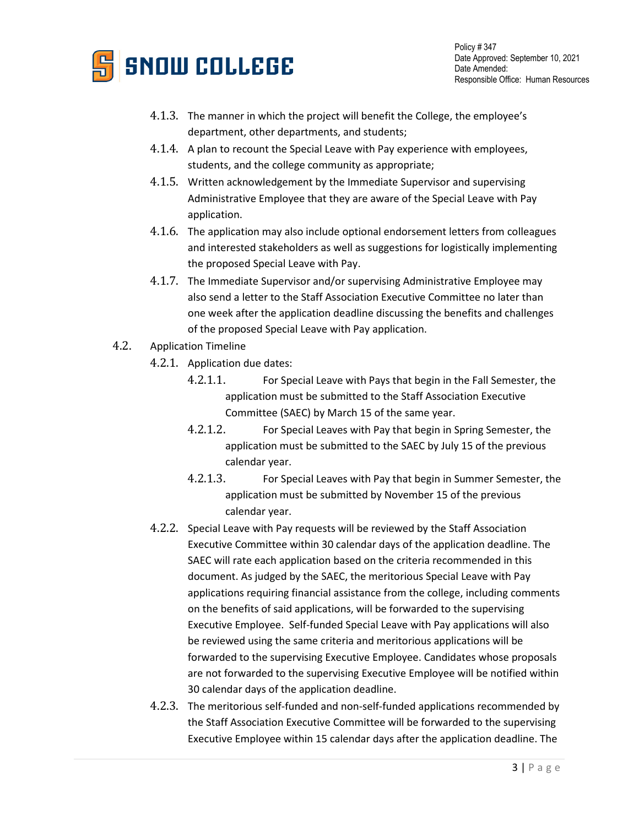

Policy # 347 Date Approved: September 10, 2021 Date Amended: Responsible Office: Human Resources

- 4.1.3. The manner in which the project will benefit the College, the employee's department, other departments, and students;
- 4.1.4. A plan to recount the Special Leave with Pay experience with employees, students, and the college community as appropriate;
- 4.1.5. Written acknowledgement by the Immediate Supervisor and supervising Administrative Employee that they are aware of the Special Leave with Pay application.
- 4.1.6. The application may also include optional endorsement letters from colleagues and interested stakeholders as well as suggestions for logistically implementing the proposed Special Leave with Pay.
- 4.1.7. The Immediate Supervisor and/or supervising Administrative Employee may also send a letter to the Staff Association Executive Committee no later than one week after the application deadline discussing the benefits and challenges of the proposed Special Leave with Pay application.
- 4.2. Application Timeline
	- 4.2.1. Application due dates:
		- 4.2.1.1. For Special Leave with Pays that begin in the Fall Semester, the application must be submitted to the Staff Association Executive Committee (SAEC) by March 15 of the same year.
		- 4.2.1.2. For Special Leaves with Pay that begin in Spring Semester, the application must be submitted to the SAEC by July 15 of the previous calendar year.
		- 4.2.1.3. For Special Leaves with Pay that begin in Summer Semester, the application must be submitted by November 15 of the previous calendar year.
	- 4.2.2. Special Leave with Pay requests will be reviewed by the Staff Association Executive Committee within 30 calendar days of the application deadline. The SAEC will rate each application based on the criteria recommended in this document. As judged by the SAEC, the meritorious Special Leave with Pay applications requiring financial assistance from the college, including comments on the benefits of said applications, will be forwarded to the supervising Executive Employee. Self-funded Special Leave with Pay applications will also be reviewed using the same criteria and meritorious applications will be forwarded to the supervising Executive Employee. Candidates whose proposals are not forwarded to the supervising Executive Employee will be notified within 30 calendar days of the application deadline.
	- 4.2.3. The meritorious self-funded and non-self-funded applications recommended by the Staff Association Executive Committee will be forwarded to the supervising Executive Employee within 15 calendar days after the application deadline. The